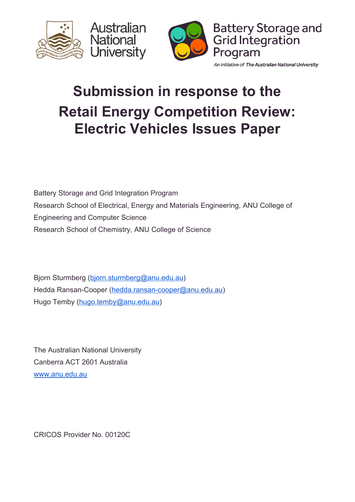





An initiative of The Australian National University

# **Submission in response to the Retail Energy Competition Review: Electric Vehicles Issues Paper**

Battery Storage and Grid Integration Program Research School of Electrical, Energy and Materials Engineering, ANU College of Engineering and Computer Science Research School of Chemistry, ANU College of Science

Bjorn Sturmberg ([bjorn.sturmberg@anu.edu.au\)](mailto:bjorn.sturmberg@anu.edu.au) Hedda Ransan-Cooper ([hedda.ransan-cooper@anu.edu.au](mailto:hedda.ransan-cooper@anu.edu.au)) Hugo Temby ([hugo.temby@anu.edu.au\)](mailto:hugo.temby@anu.edu.au)

The Australian National University Canberra ACT 2601 Australia [www.anu.edu.au](http://www.anu.edu.au/)

CRICOS Provider No. 00120C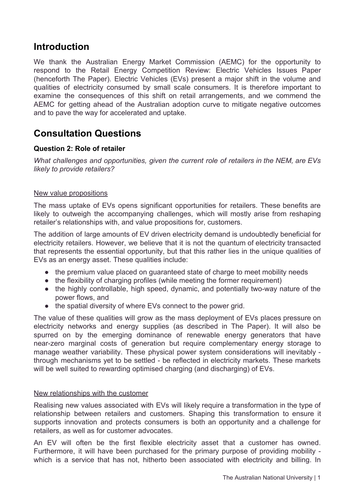# **Introduction**

We thank the Australian Energy Market Commission (AEMC) for the opportunity to respond to the Retail Energy Competition Review: Electric Vehicles Issues Paper (henceforth The Paper). Electric Vehicles (EVs) present a major shift in the volume and qualities of electricity consumed by small scale consumers. It is therefore important to examine the consequences of this shift on retail arrangements, and we commend the AEMC for getting ahead of the Australian adoption curve to mitigate negative outcomes and to pave the way for accelerated and uptake.

# **Consultation Questions**

## **Question 2: Role of retailer**

*What challenges and opportunities, given the current role of retailers in the NEM, are EVs likely to provide retailers?* 

#### New value propositions

The mass uptake of EVs opens significant opportunities for retailers. These benefits are likely to outweigh the accompanying challenges, which will mostly arise from reshaping retailer's relationships with, and value propositions for, customers.

The addition of large amounts of EV driven electricity demand is undoubtedly beneficial for electricity retailers. However, we believe that it is not the quantum of electricity transacted that represents the essential opportunity, but that this rather lies in the unique qualities of EVs as an energy asset. These qualities include:

- the premium value placed on guaranteed state of charge to meet mobility needs
- the flexibility of charging profiles (while meeting the former requirement)
- the highly controllable, high speed, dynamic, and potentially two-way nature of the power flows, and
- the spatial diversity of where EVs connect to the power grid.

The value of these qualities will grow as the mass deployment of EVs places pressure on electricity networks and energy supplies (as described in The Paper). It will also be spurred on by the emerging dominance of renewable energy generators that have near-zero marginal costs of generation but require complementary energy storage to manage weather variability. These physical power system considerations will inevitably through mechanisms yet to be settled - be reflected in electricity markets. These markets will be well suited to rewarding optimised charging (and discharging) of EVs.

#### New relationships with the customer

Realising new values associated with EVs will likely require a transformation in the type of relationship between retailers and customers. Shaping this transformation to ensure it supports innovation and protects consumers is both an opportunity and a challenge for retailers, as well as for customer advocates.

An EV will often be the first flexible electricity asset that a customer has owned. Furthermore, it will have been purchased for the primary purpose of providing mobility which is a service that has not, hitherto been associated with electricity and billing. In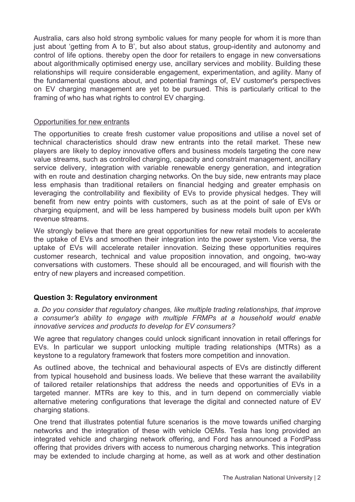Australia, cars also hold strong symbolic values for many people for whom it is more than just about 'getting from A to B', but also about status, group-identity and autonomy and control of life options. thereby open the door for retailers to engage in new conversations about algorithmically optimised energy use, ancillary services and mobility. Building these relationships will require considerable engagement, experimentation, and agility. Many of the fundamental questions about, and potential framings of, EV customer's perspectives on EV charging management are yet to be pursued. This is particularly critical to the framing of who has what rights to control EV charging.

## Opportunities for new entrants

The opportunities to create fresh customer value propositions and utilise a novel set of technical characteristics should draw new entrants into the retail market. These new players are likely to deploy innovative offers and business models targeting the core new value streams, such as controlled charging, capacity and constraint management, ancillary service delivery, integration with variable renewable energy generation, and integration with en route and destination charging networks. On the buy side, new entrants may place less emphasis than traditional retailers on financial hedging and greater emphasis on leveraging the controllability and flexibility of EVs to provide physical hedges. They will benefit from new entry points with customers, such as at the point of sale of EVs or charging equipment, and will be less hampered by business models built upon per kWh revenue streams.

We strongly believe that there are great opportunities for new retail models to accelerate the uptake of EVs and smoothen their integration into the power system. Vice versa, the uptake of EVs will accelerate retailer innovation. Seizing these opportunities requires customer research, technical and value proposition innovation, and ongoing, two-way conversations with customers. These should all be encouraged, and will flourish with the entry of new players and increased competition.

# **Question 3: Regulatory environment**

*a. Do you consider that regulatory changes, like multiple trading relationships, that improve a consumer's ability to engage with multiple FRMPs at a household would enable innovative services and products to develop for EV consumers?*

We agree that regulatory changes could unlock significant innovation in retail offerings for EVs. In particular we support unlocking multiple trading relationships (MTRs) as a keystone to a regulatory framework that fosters more competition and innovation.

As outlined above, the technical and behavioural aspects of EVs are distinctly different from typical household and business loads. We believe that these warrant the availability of tailored retailer relationships that address the needs and opportunities of EVs in a targeted manner. MTRs are key to this, and in turn depend on commercially viable alternative metering configurations that leverage the digital and connected nature of EV charging stations.

One trend that illustrates potential future scenarios is the move towards unified charging networks and the integration of these with vehicle OEMs. Tesla has long provided an integrated vehicle and charging network offering, and Ford has announced a FordPass offering that provides drivers with access to numerous charging networks. This integration may be extended to include charging at home, as well as at work and other destination